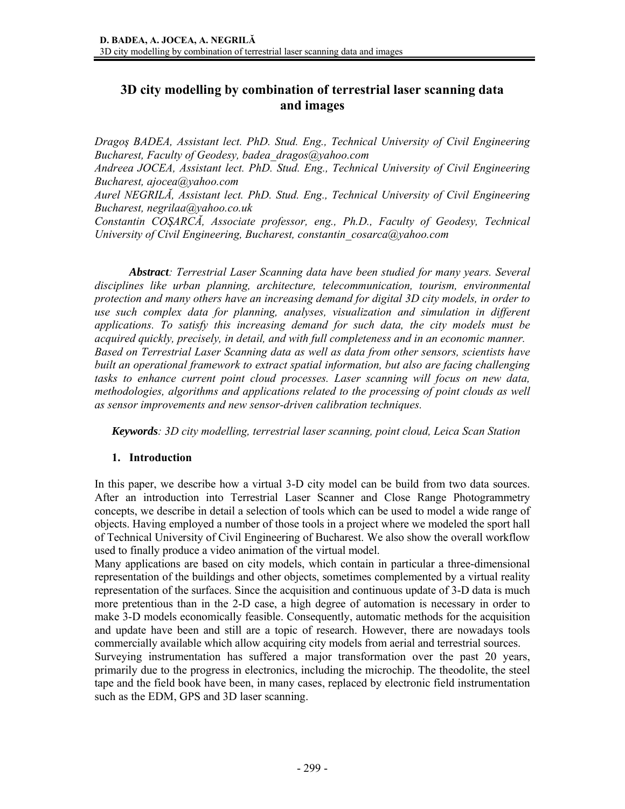# **3D city modelling by combination of terrestrial laser scanning data and images**

*Dragoş BADEA, Assistant lect. PhD. Stud. Eng., Technical University of Civil Engineering Bucharest, Faculty of Geodesy, badea\_dragos@yahoo.com* 

*Andreea JOCEA, Assistant lect. PhD. Stud. Eng., Technical University of Civil Engineering Bucharest, ajocea@yahoo.com* 

*Aurel NEGRILĂ, Assistant lect. PhD. Stud. Eng., Technical University of Civil Engineering Bucharest, negrilaa@yahoo.co.uk*

*Constantin COŞARCĂ, Associate professor, eng., Ph.D., Faculty of Geodesy, Technical University of Civil Engineering, Bucharest, constantin\_cosarca@yahoo.com* 

*Abstract: Terrestrial Laser Scanning data have been studied for many years. Several disciplines like urban planning, architecture, telecommunication, tourism, environmental protection and many others have an increasing demand for digital 3D city models, in order to use such complex data for planning, analyses, visualization and simulation in different applications. To satisfy this increasing demand for such data, the city models must be acquired quickly, precisely, in detail, and with full completeness and in an economic manner. Based on Terrestrial Laser Scanning data as well as data from other sensors, scientists have built an operational framework to extract spatial information, but also are facing challenging tasks to enhance current point cloud processes. Laser scanning will focus on new data, methodologies, algorithms and applications related to the processing of point clouds as well as sensor improvements and new sensor-driven calibration techniques.* 

*Keywords: 3D city modelling, terrestrial laser scanning, point cloud, Leica Scan Station* 

#### **1. Introduction**

In this paper, we describe how a virtual 3-D city model can be build from two data sources. After an introduction into Terrestrial Laser Scanner and Close Range Photogrammetry concepts, we describe in detail a selection of tools which can be used to model a wide range of objects. Having employed a number of those tools in a project where we modeled the sport hall of Technical University of Civil Engineering of Bucharest. We also show the overall workflow used to finally produce a video animation of the virtual model.

Many applications are based on city models, which contain in particular a three-dimensional representation of the buildings and other objects, sometimes complemented by a virtual reality representation of the surfaces. Since the acquisition and continuous update of 3-D data is much more pretentious than in the 2-D case, a high degree of automation is necessary in order to make 3-D models economically feasible. Consequently, automatic methods for the acquisition and update have been and still are a topic of research. However, there are nowadays tools commercially available which allow acquiring city models from aerial and terrestrial sources.

Surveying instrumentation has suffered a major transformation over the past 20 years, primarily due to the progress in electronics, including the microchip. The theodolite, the steel tape and the field book have been, in many cases, replaced by electronic field instrumentation such as the EDM, GPS and 3D laser scanning.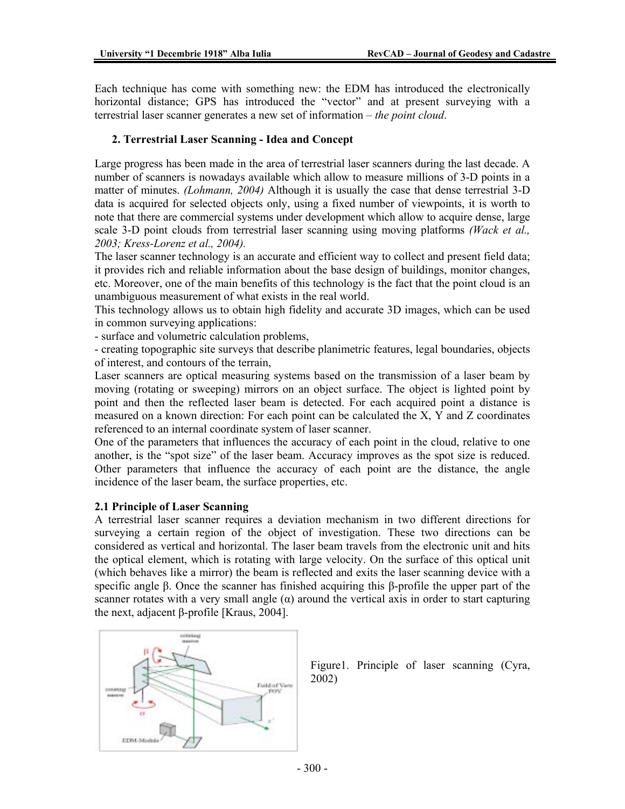Each technique has come with something new: the EDM has introduced the electronically horizontal distance; GPS has introduced the "vector" and at present surveying with a terrestrial laser scanner generates a new set of information – *the point cloud*.

#### **2. Terrestrial Laser Scanning - Idea and Concept**

Large progress has been made in the area of terrestrial laser scanners during the last decade. A number of scanners is nowadays available which allow to measure millions of 3-D points in a matter of minutes. *(Lohmann, 2004)* Although it is usually the case that dense terrestrial 3-D data is acquired for selected objects only, using a fixed number of viewpoints, it is worth to note that there are commercial systems under development which allow to acquire dense, large scale 3-D point clouds from terrestrial laser scanning using moving platforms *(Wack et al., 2003; Kress-Lorenz et al., 2004).* 

The laser scanner technology is an accurate and efficient way to collect and present field data; it provides rich and reliable information about the base design of buildings, monitor changes, etc. Moreover, one of the main benefits of this technology is the fact that the point cloud is an unambiguous measurement of what exists in the real world.

This technology allows us to obtain high fidelity and accurate 3D images, which can be used in common surveying applications:

- surface and volumetric calculation problems,

- creating topographic site surveys that describe planimetric features, legal boundaries, objects of interest, and contours of the terrain,

Laser scanners are optical measuring systems based on the transmission of a laser beam by moving (rotating or sweeping) mirrors on an object surface. The object is lighted point by point and then the reflected laser beam is detected. For each acquired point a distance is measured on a known direction: For each point can be calculated the X, Y and Z coordinates referenced to an internal coordinate system of laser scanner.

One of the parameters that influences the accuracy of each point in the cloud, relative to one another, is the "spot size" of the laser beam. Accuracy improves as the spot size is reduced. Other parameters that influence the accuracy of each point are the distance, the angle incidence of the laser beam, the surface properties, etc.

#### **2.1 Principle of Laser Scanning**

A terrestrial laser scanner requires a deviation mechanism in two different directions for surveying a certain region of the object of investigation. These two directions can be considered as vertical and horizontal. The laser beam travels from the electronic unit and hits the optical element, which is rotating with large velocity. On the surface of this optical unit (which behaves like a mirror) the beam is reflected and exits the laser scanning device with a specific angle β. Once the scanner has finished acquiring this β-profile the upper part of the scanner rotates with a very small angle  $(\alpha)$  around the vertical axis in order to start capturing the next, adjacent β-profile [Kraus, 2004].



Figure1. Principle of laser scanning (Cyra, 2002)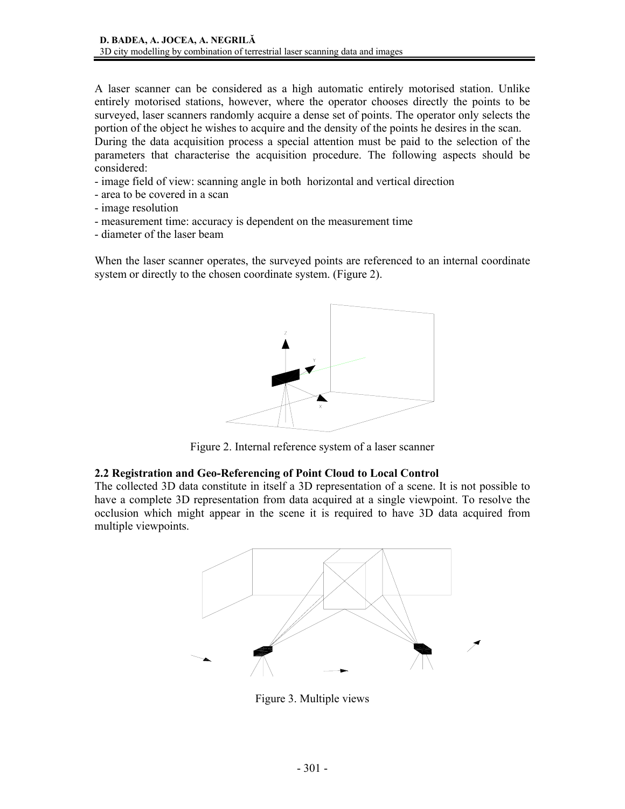A laser scanner can be considered as a high automatic entirely motorised station. Unlike entirely motorised stations, however, where the operator chooses directly the points to be surveyed, laser scanners randomly acquire a dense set of points. The operator only selects the portion of the object he wishes to acquire and the density of the points he desires in the scan. During the data acquisition process a special attention must be paid to the selection of the parameters that characterise the acquisition procedure. The following aspects should be

considered: - image field of view: scanning angle in both horizontal and vertical direction

- area to be covered in a scan
- image resolution
- measurement time: accuracy is dependent on the measurement time
- diameter of the laser beam

When the laser scanner operates, the surveyed points are referenced to an internal coordinate system or directly to the chosen coordinate system. (Figure 2).



Figure 2. Internal reference system of a laser scanner

#### **2.2 Registration and Geo-Referencing of Point Cloud to Local Control**

The collected 3D data constitute in itself a 3D representation of a scene. It is not possible to have a complete 3D representation from data acquired at a single viewpoint. To resolve the occlusion which might appear in the scene it is required to have 3D data acquired from multiple viewpoints.



Figure 3. Multiple views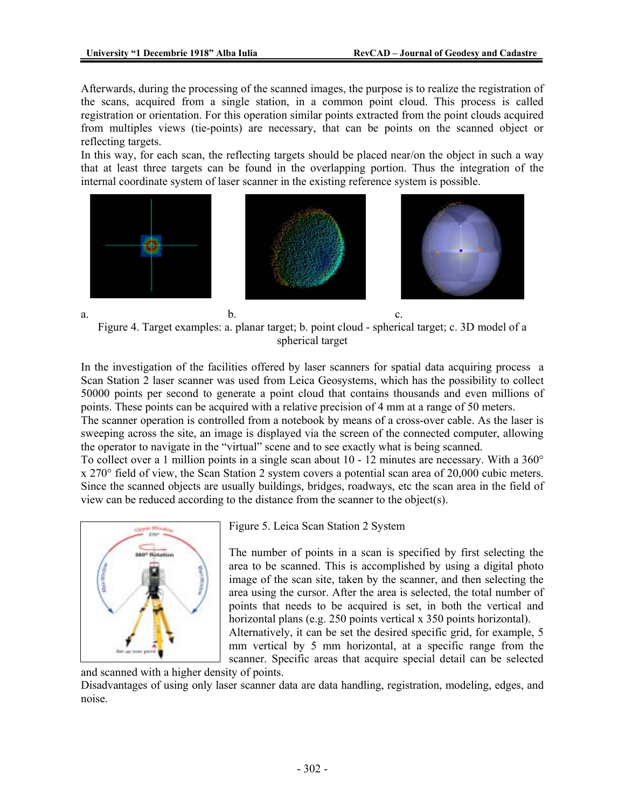Afterwards, during the processing of the scanned images, the purpose is to realize the registration of the scans, acquired from a single station, in a common point cloud. This process is called registration or orientation. For this operation similar points extracted from the point clouds acquired from multiples views (tie-points) are necessary, that can be points on the scanned object or reflecting targets.

In this way, for each scan, the reflecting targets should be placed near/on the object in such a way that at least three targets can be found in the overlapping portion. Thus the integration of the internal coordinate system of laser scanner in the existing reference system is possible.



Figure 4. Target examples: a. planar target; b. point cloud - spherical target; c. 3D model of a spherical target

In the investigation of the facilities offered by laser scanners for spatial data acquiring process a Scan Station 2 laser scanner was used from Leica Geosystems, which has the possibility to collect 50000 points per second to generate a point cloud that contains thousands and even millions of points. These points can be acquired with a relative precision of 4 mm at a range of 50 meters.

The scanner operation is controlled from a notebook by means of a cross-over cable. As the laser is sweeping across the site, an image is displayed via the screen of the connected computer, allowing the operator to navigate in the "virtual" scene and to see exactly what is being scanned.

To collect over a 1 million points in a single scan about  $10 - 12$  minutes are necessary. With a  $360^{\circ}$ x 270° field of view, the Scan Station 2 system covers a potential scan area of 20,000 cubic meters. Since the scanned objects are usually buildings, bridges, roadways, etc the scan area in the field of view can be reduced according to the distance from the scanner to the object(s).



Figure 5. Leica Scan Station 2 System

The number of points in a scan is specified by first selecting the area to be scanned. This is accomplished by using a digital photo image of the scan site, taken by the scanner, and then selecting the area using the cursor. After the area is selected, the total number of points that needs to be acquired is set, in both the vertical and horizontal plans (e.g. 250 points vertical x 350 points horizontal).

Alternatively, it can be set the desired specific grid, for example, 5 mm vertical by 5 mm horizontal, at a specific range from the scanner. Specific areas that acquire special detail can be selected

and scanned with a higher density of points.

Disadvantages of using only laser scanner data are data handling, registration, modeling, edges, and noise.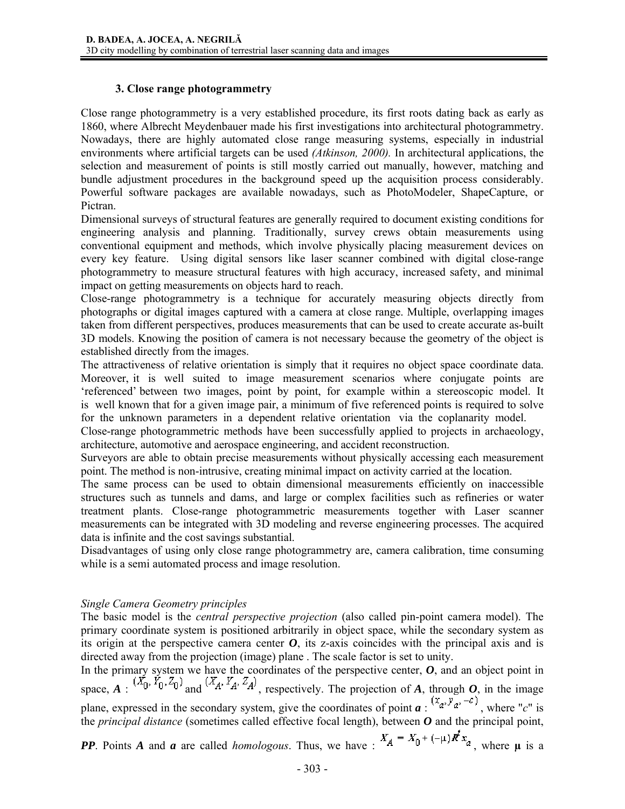#### **3. Close range photogrammetry**

Close range photogrammetry is a very established procedure, its first roots dating back as early as 1860, where Albrecht Meydenbauer made his first investigations into architectural photogrammetry. Nowadays, there are highly automated close range measuring systems, especially in industrial environments where artificial targets can be used *(Atkinson, 2000).* In architectural applications, the selection and measurement of points is still mostly carried out manually, however, matching and bundle adjustment procedures in the background speed up the acquisition process considerably. Powerful software packages are available nowadays, such as PhotoModeler, ShapeCapture, or Pictran.

Dimensional surveys of structural features are generally required to document existing conditions for engineering analysis and planning. Traditionally, survey crews obtain measurements using conventional equipment and methods, which involve physically placing measurement devices on every key feature. Using digital sensors like laser scanner combined with digital close-range photogrammetry to measure structural features with high accuracy, increased safety, and minimal impact on getting measurements on objects hard to reach.

Close-range photogrammetry is a technique for accurately measuring objects directly from photographs or digital images captured with a camera at close range. Multiple, overlapping images taken from different perspectives, produces measurements that can be used to create accurate as-built 3D models. Knowing the position of camera is not necessary because the geometry of the object is established directly from the images.

The attractiveness of relative orientation is simply that it requires no object space coordinate data. Moreover, it is well suited to image measurement scenarios where conjugate points are 'referenced' between two images, point by point, for example within a stereoscopic model. It is well known that for a given image pair, a minimum of five referenced points is required to solve for the unknown parameters in a dependent relative orientation via the coplanarity model.

Close-range photogrammetric methods have been successfully applied to projects in archaeology, architecture, automotive and aerospace engineering, and accident reconstruction.

Surveyors are able to obtain precise measurements without physically accessing each measurement point. The method is non-intrusive, creating minimal impact on activity carried at the location.

The same process can be used to obtain dimensional measurements efficiently on inaccessible structures such as tunnels and dams, and large or complex facilities such as refineries or water treatment plants. Close-range photogrammetric measurements together with Laser scanner measurements can be integrated with 3D modeling and reverse engineering processes. The acquired data is infinite and the cost savings substantial.

Disadvantages of using only close range photogrammetry are, camera calibration, time consuming while is a semi automated process and image resolution.

### *Single Camera Geometry principles*

The basic model is the *central perspective projection* (also called pin-point camera model). The primary coordinate system is positioned arbitrarily in object space, while the secondary system as its origin at the perspective camera center  $\boldsymbol{O}$ , its z-axis coincides with the principal axis and is directed away from the projection (image) plane . The scale factor is set to unity.

In the primary system we have the coordinates of the perspective center, *O*, and an object point in space,  $A : (X_0, Y_0, Z_0)$  and  $(X_A, Y_A, Z_A)$ , respectively. The projection of *A*, through *O*, in the image plane, expressed in the secondary system, give the coordinates of point  $a : (x_a, y_a, -c)$ , where "*c*" is the *principal distance* (sometimes called effective focal length), between *O* and the principal point,

*PP*. Points *A* and *a* are called *homologous*. Thus, we have  $\cdot$   $X_A = X_0 + (-\mu)R^f x_a$ , where  $\mu$  is a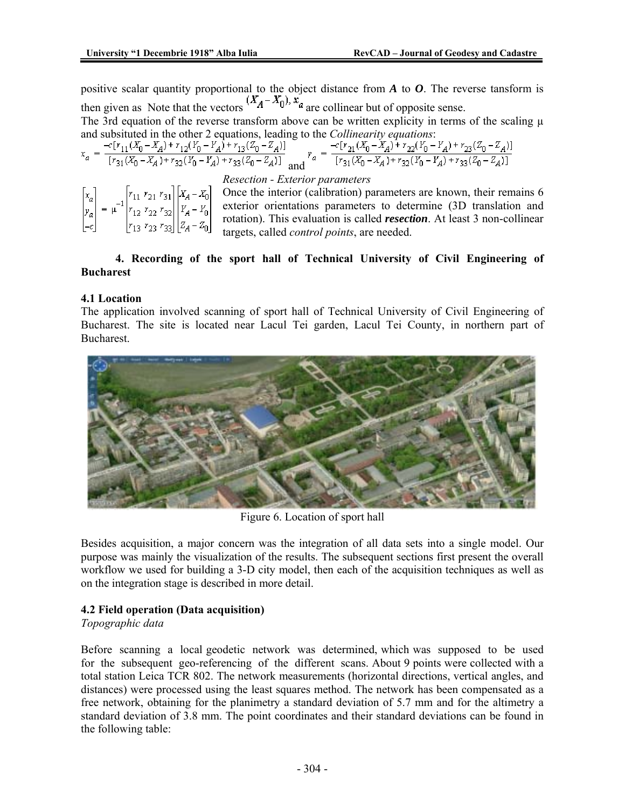positive scalar quantity proportional to the object distance from *A* to *O*. The reverse tansform is then given as Note that the vectors  $(X_A - X_0)$ ,  $x_a$  are collinear but of opposite sense.

The 3rd equation of the reverse transform above can be written explicity in terms of the scaling  $\mu$ and subsituted in the other 2 equations, leading to the *Collinearity equations*:

$$
x_a = \frac{-c[r_{11}(X_0-X_A) + r_{12}(Y_0-Y_A) + r_{13}(Z_0-Z_A)]}{[r_{31}(X_0-X_A) + r_{32}(Y_0-Y_A) + r_{33}(Z_0-Z_A)]} \text{ and } \\ y_a = \frac{-c[r_{21}(X_0-X_A) + r_{22}(Y_0-Y_A) + r_{23}(Z_0-Z_A)]}{[r_{31}(X_0-X_A) + r_{32}(Y_0-Y_A) + r_{33}(Z_0-Z_A)]}
$$

*Resection - Exterior parameters* 

Once the interior (calibration) parameters are known, their remains 6 exterior orientations parameters to determine (3D translation and rotation). This evaluation is called *resection*. At least 3 non-collinear targets, called *control points*, are needed.

### **4. Recording of the sport hall of Technical University of Civil Engineering of Bucharest**

### **4.1 Location**

The application involved scanning of sport hall of Technical University of Civil Engineering of Bucharest. The site is located near Lacul Tei garden, Lacul Tei County, in northern part of Bucharest.



Figure 6. Location of sport hall

Besides acquisition, a major concern was the integration of all data sets into a single model. Our purpose was mainly the visualization of the results. The subsequent sections first present the overall workflow we used for building a 3-D city model, then each of the acquisition techniques as well as on the integration stage is described in more detail.

### **4.2 Field operation (Data acquisition)**

### *Topographic data*

Before scanning a local geodetic network was determined, which was supposed to be used for the subsequent geo-referencing of the different scans. About 9 points were collected with a total station Leica TCR 802. The network measurements (horizontal directions, vertical angles, and distances) were processed using the least squares method. The network has been compensated as a free network, obtaining for the planimetry a standard deviation of 5.7 mm and for the altimetry a standard deviation of 3.8 mm. The point coordinates and their standard deviations can be found in the following table: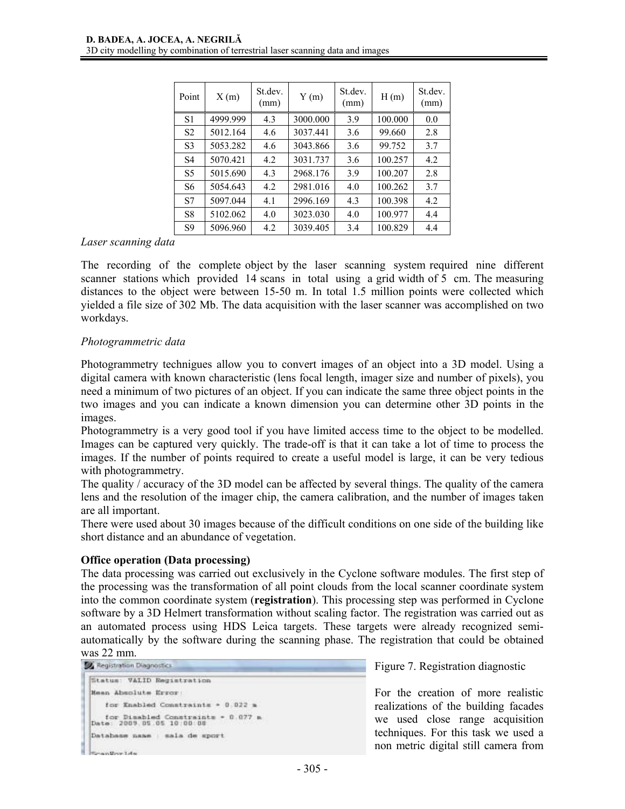| Point          | X(m)     | St.dev.<br>(mm) | Y(m)     | St.dev.<br>(mm) | H(m)    | St.dev.<br>(mm) |
|----------------|----------|-----------------|----------|-----------------|---------|-----------------|
| S <sub>1</sub> | 4999.999 | 4.3             | 3000.000 | 3.9             | 100.000 | 0.0             |
| S <sub>2</sub> | 5012.164 | 4.6             | 3037.441 | 3.6             | 99.660  | 2.8             |
| S <sub>3</sub> | 5053.282 | 4.6             | 3043.866 | 3.6             | 99.752  | 3.7             |
| S <sub>4</sub> | 5070.421 | 4.2             | 3031.737 | 3.6             | 100.257 | 4.2             |
| S <sub>5</sub> | 5015.690 | 4.3             | 2968.176 | 3.9             | 100.207 | 2.8             |
| S6             | 5054.643 | 4.2             | 2981.016 | 4.0             | 100.262 | 3.7             |
| S7             | 5097.044 | 4.1             | 2996.169 | 4.3             | 100.398 | 4.2             |
| S8             | 5102.062 | 4.0             | 3023.030 | 4.0             | 100.977 | 4.4             |
| S <sub>9</sub> | 5096.960 | 4.2             | 3039.405 | 3.4             | 100.829 | 4.4             |

#### *Laser scanning data*

The recording of the complete object by the laser scanning system required nine different scanner stations which provided 14 scans in total using a grid width of 5 cm. The measuring distances to the object were between 15-50 m. In total 1.5 million points were collected which yielded a file size of 302 Mb. The data acquisition with the laser scanner was accomplished on two workdays.

#### *Photogrammetric data*

Photogrammetry technigues allow you to convert images of an object into a 3D model. Using a digital camera with known characteristic (lens focal length, imager size and number of pixels), you need a minimum of two pictures of an object. If you can indicate the same three object points in the two images and you can indicate a known dimension you can determine other 3D points in the images.

Photogrammetry is a very good tool if you have limited access time to the object to be modelled. Images can be captured very quickly. The trade-off is that it can take a lot of time to process the images. If the number of points required to create a useful model is large, it can be very tedious with photogrammetry.

The quality / accuracy of the 3D model can be affected by several things. The quality of the camera lens and the resolution of the imager chip, the camera calibration, and the number of images taken are all important.

There were used about 30 images because of the difficult conditions on one side of the building like short distance and an abundance of vegetation.

#### **Office operation (Data processing)**

The data processing was carried out exclusively in the Cyclone software modules. The first step of the processing was the transformation of all point clouds from the local scanner coordinate system into the common coordinate system (**registration**). This processing step was performed in Cyclone software by a 3D Helmert transformation without scaling factor. The registration was carried out as an automated process using HDS Leica targets. These targets were already recognized semiautomatically by the software during the scanning phase. The registration that could be obtained Was 22 mm.<br>54 Registration Diagnostics

```
Status: VALID Registration
Mean Absolute Error:
   for Enabled Constraints = 0.022 m
for Disabled Constraints - 0.077 a<br>Date: 2009.05.05.10:00:00
Database name : sala de sport
 Consultor Life
```
Figure 7. Registration diagnostic

For the creation of more realistic realizations of the building facades we used close range acquisition techniques. For this task we used a non metric digital still camera from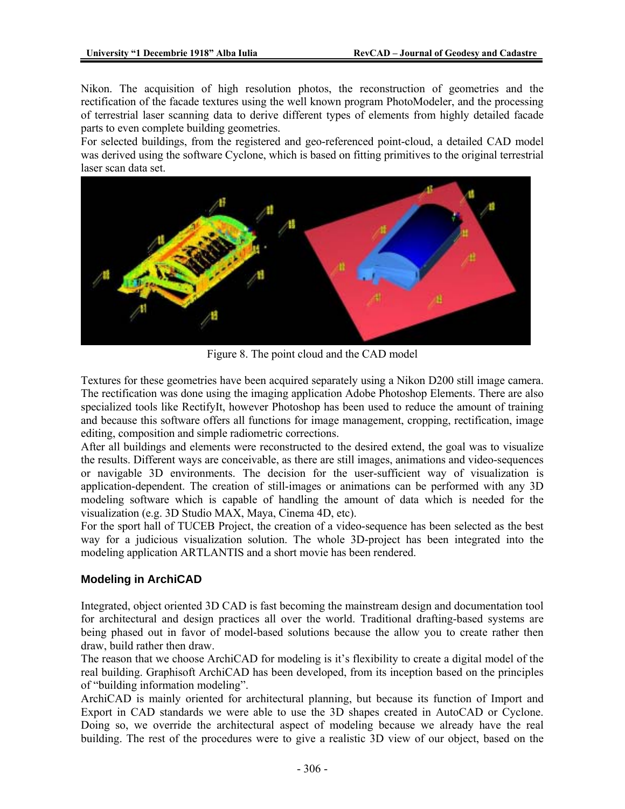Nikon. The acquisition of high resolution photos, the reconstruction of geometries and the rectification of the facade textures using the well known program PhotoModeler, and the processing of terrestrial laser scanning data to derive different types of elements from highly detailed facade parts to even complete building geometries.

For selected buildings, from the registered and geo-referenced point-cloud, a detailed CAD model was derived using the software Cyclone, which is based on fitting primitives to the original terrestrial laser scan data set.



Figure 8. The point cloud and the CAD model

Textures for these geometries have been acquired separately using a Nikon D200 still image camera. The rectification was done using the imaging application Adobe Photoshop Elements. There are also specialized tools like RectifyIt, however Photoshop has been used to reduce the amount of training and because this software offers all functions for image management, cropping, rectification, image editing, composition and simple radiometric corrections.

After all buildings and elements were reconstructed to the desired extend, the goal was to visualize the results. Different ways are conceivable, as there are still images, animations and video-sequences or navigable 3D environments. The decision for the user-sufficient way of visualization is application-dependent. The creation of still-images or animations can be performed with any 3D modeling software which is capable of handling the amount of data which is needed for the visualization (e.g. 3D Studio MAX, Maya, Cinema 4D, etc).

For the sport hall of TUCEB Project, the creation of a video-sequence has been selected as the best way for a judicious visualization solution. The whole 3D-project has been integrated into the modeling application ARTLANTIS and a short movie has been rendered.

### **Modeling in ArchiCAD**

Integrated, object oriented 3D CAD is fast becoming the mainstream design and documentation tool for architectural and design practices all over the world. Traditional drafting-based systems are being phased out in favor of model-based solutions because the allow you to create rather then draw, build rather then draw.

The reason that we choose ArchiCAD for modeling is it's flexibility to create a digital model of the real building. Graphisoft ArchiCAD has been developed, from its inception based on the principles of "building information modeling".

ArchiCAD is mainly oriented for architectural planning, but because its function of Import and Export in CAD standards we were able to use the 3D shapes created in AutoCAD or Cyclone. Doing so, we override the architectural aspect of modeling because we already have the real building. The rest of the procedures were to give a realistic 3D view of our object, based on the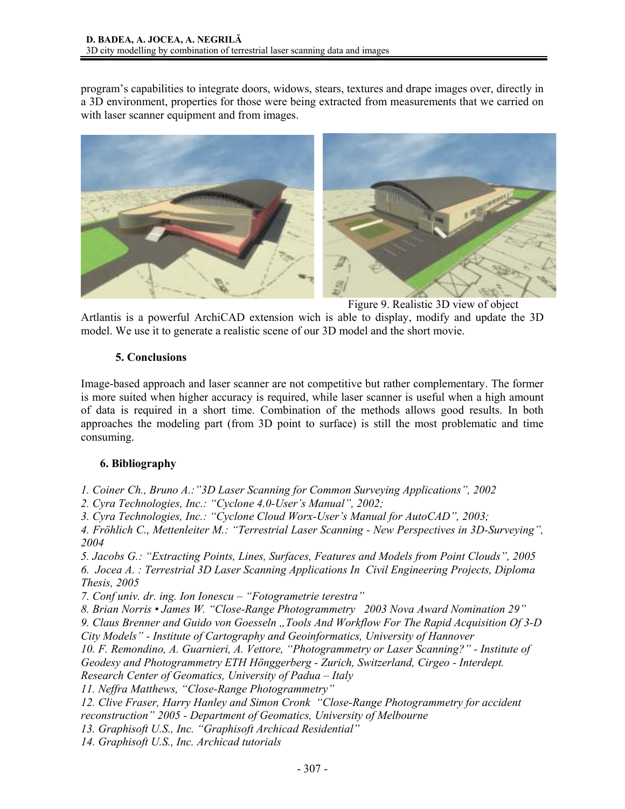program's capabilities to integrate doors, widows, stears, textures and drape images over, directly in a 3D environment, properties for those were being extracted from measurements that we carried on with laser scanner equipment and from images.



Figure 9. Realistic 3D view of object

Artlantis is a powerful ArchiCAD extension wich is able to display, modify and update the 3D model. We use it to generate a realistic scene of our 3D model and the short movie.

### **5. Conclusions**

Image-based approach and laser scanner are not competitive but rather complementary. The former is more suited when higher accuracy is required, while laser scanner is useful when a high amount of data is required in a short time. Combination of the methods allows good results. In both approaches the modeling part (from 3D point to surface) is still the most problematic and time consuming.

## **6. Bibliography**

*1. Coiner Ch., Bruno A.:"3D Laser Scanning for Common Surveying Applications", 2002* 

*2. Cyra Technologies, Inc.: "Cyclone 4.0-User's Manual", 2002;* 

*3. Cyra Technologies, Inc.: "Cyclone Cloud Worx-User's Manual for AutoCAD", 2003;* 

*4. Fröhlich C., Mettenleiter M.: "Terrestrial Laser Scanning - New Perspectives in 3D-Surveying", 2004* 

*5. Jacobs G.: "Extracting Points, Lines, Surfaces, Features and Models from Point Clouds", 2005 6. Jocea A. : Terrestrial 3D Laser Scanning Applications In Civil Engineering Projects, Diploma* 

*Thesis, 2005* 

*7. Conf univ. dr. ing. Ion Ionescu – "Fotogrametrie terestra"* 

*8. Brian Norris • James W. "Close-Range Photogrammetry 2003 Nova Award Nomination 29" 9. Claus Brenner and Guido von Goesseln "Tools And Workflow For The Rapid Acquisition Of 3-D* 

*City Models" - Institute of Cartography and Geoinformatics, University of Hannover* 

*10. F. Remondino, A. Guarnieri, A. Vettore, "Photogrammetry or Laser Scanning?" - Institute of Geodesy and Photogrammetry ETH Hönggerberg - Zurich, Switzerland, Cirgeo - Interdept.* 

*Research Center of Geomatics, University of Padua – Italy* 

*11. Neffra Matthews, "Close-Range Photogrammetry"* 

*12. Clive Fraser, Harry Hanley and Simon Cronk "Close-Range Photogrammetry for accident reconstruction" 2005 - Department of Geomatics, University of Melbourne* 

*13. Graphisoft U.S., Inc. "Graphisoft Archicad Residential"* 

*14. Graphisoft U.S., Inc. Archicad tutorials*